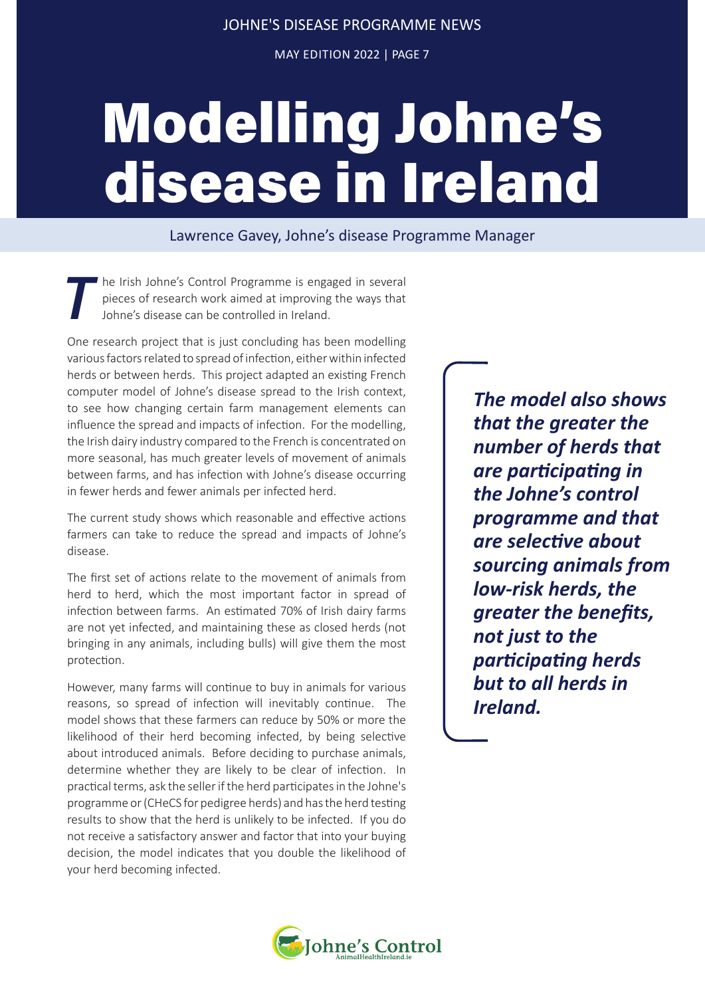MAY EDITION 2022 | PAGE 7

## Modelling Johne's disease in Ireland

Lawrence Gavey, Johne's disease Programme Manager

The Irish Johne's Control Programme is engaged in several<br>pieces of research work aimed at improving the ways that<br>Johne's disease can be controlled in Ireland. pieces of research work aimed at improving the ways that Johne's disease can be controlled in Ireland.

One research project that is just concluding has been modelling various factors related to spread of infection, either within infected herds or between herds. This project adapted an existing French computer model of Johne's disease spread to the Irish context, to see how changing certain farm management elements can influence the spread and impacts of infection. For the modelling, the Irish dairy industry compared to the French is concentrated on more seasonal, has much greater levels of movement of animals between farms, and has infection with Johne's disease occurring in fewer herds and fewer animals per infected herd.

The current study shows which reasonable and effective actions farmers can take to reduce the spread and impacts of Johne's disease.

The first set of actions relate to the movement of animals from herd to herd, which the most important factor in spread of infection between farms. An estimated 70% of Irish dairy farms are not yet infected, and maintaining these as closed herds (not bringing in any animals, including bulls) will give them the most protection.

However, many farms will continue to buy in animals for various reasons, so spread of infection will inevitably continue. The model shows that these farmers can reduce by 50% or more the likelihood of their herd becoming infected, by being selective about introduced animals. Before deciding to purchase animals, determine whether they are likely to be clear of infection. In practical terms, ask the seller if the herd participates in the Johne's programme or (CHeCS for pedigree herds) and has the herd testing results to show that the herd is unlikely to be infected. If you do not receive a satisfactory answer and factor that into your buying decision, the model indicates that you double the likelihood of your herd becoming infected.

*The model also shows that the greater the number of herds that are participating in the Johne's control programme and that are selective about sourcing animals from low-risk herds, the greater the benefits, not just to the participating herds but to all herds in Ireland.*